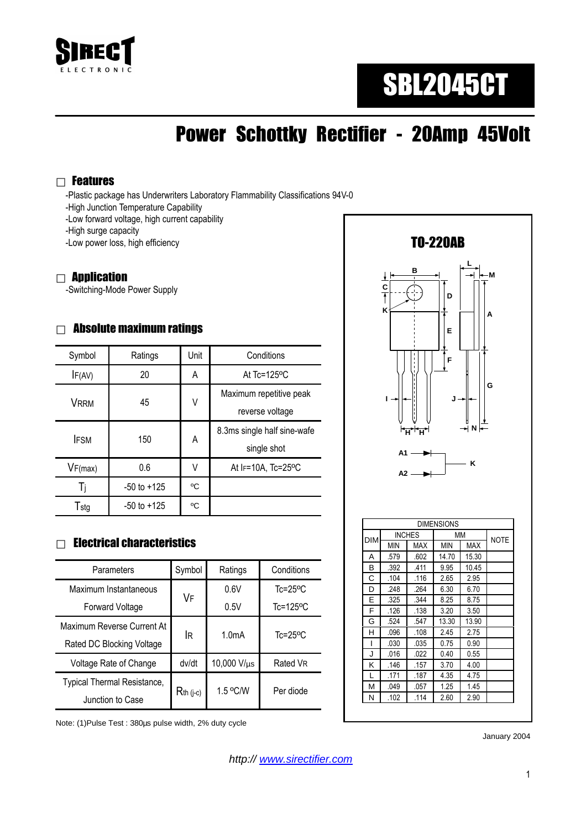

# SBL2045CT

## Power Schottky Rectifier - 20Amp 45Volt

#### Features

-Plastic package has Underwriters Laboratory Flammability Classifications 94V-0

- -High Junction Temperature Capability
- -Low forward voltage, high current capability
- -High surge capacity
- -Low power loss, high efficiency

#### **Annlication**

-Switching-Mode Power Supply

#### Absolute maximum ratings

| Symbol      | Ratings         | Unit | Conditions                                 |  |
|-------------|-----------------|------|--------------------------------------------|--|
| IF(AV)      | 20              | A    | At $Tc = 125$ <sup>o</sup> C               |  |
| <b>VRRM</b> | 45              | ٧    | Maximum repetitive peak<br>reverse voltage |  |
| <b>IFSM</b> | 150             | A    | 8.3ms single half sine-wafe<br>single shot |  |
| VF(max)     | 0.6             | V    | At IF=10A, Tc=25°C                         |  |
| Ti          | $-50$ to $+125$ | °C   |                                            |  |
| Tstg        | $-50$ to $+125$ | °C   |                                            |  |

#### Electrical characteristics

| Parameters                  | Symbol         | Ratings            | Conditions                |
|-----------------------------|----------------|--------------------|---------------------------|
| Maximum Instantaneous       | VF             | 0.6V               | $Tc = 25$ <sup>o</sup> C  |
| Forward Voltage             |                | 0.5V               | $Tc = 125$ <sup>o</sup> C |
| Maximum Reverse Current At  | lR.            | 1.0 <sub>m</sub> A | $Tc = 25$ <sup>o</sup> C  |
| Rated DC Blocking Voltage   |                |                    |                           |
| Voltage Rate of Change      | dv/dt          | 10,000 V/µs        | Rated VR                  |
| Typical Thermal Resistance, | $R_{th}$ (j-c) | 1.5 °C/W           | Per diode                 |
| Junction to Case            |                |                    |                           |

Note: (1)Pulse Test : 380µs pulse width, 2% duty cycle



J .016 .022 0.40 0.55 K .146 .157 3.70 4.00 L .171 .187 4.35 4.75 M .049 .057 1.25 1.45 N .102 .114 2.60 2.90